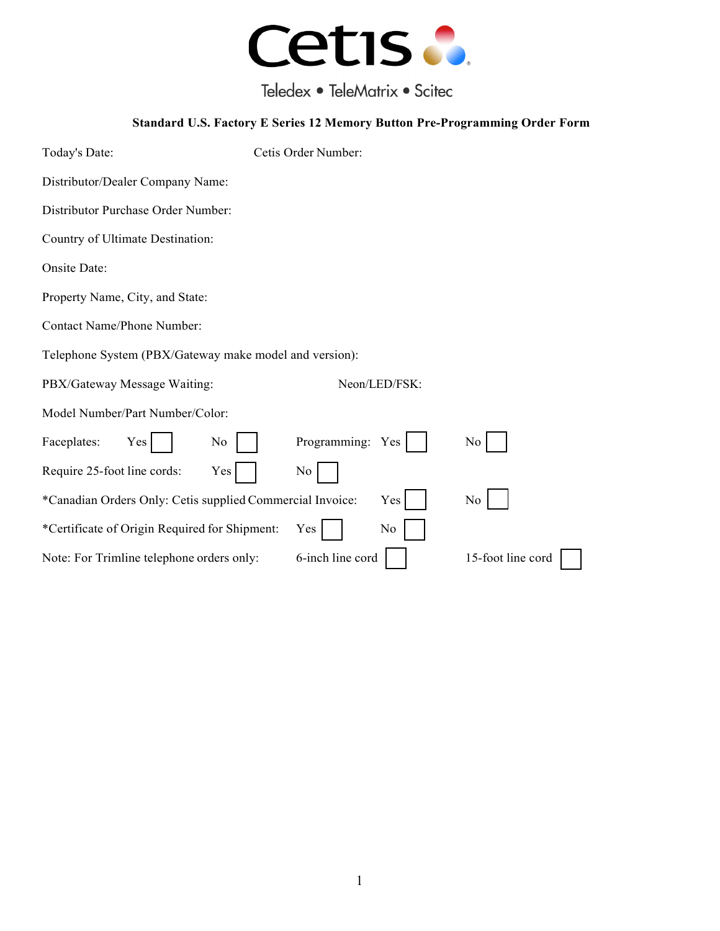

Teledex • TeleMatrix • Scitec

## **Standard U.S. Factory E Series 12 Memory Button Pre-Programming Order Form**

| Today's Date:                                             | Cetis Order Number: |                   |  |  |
|-----------------------------------------------------------|---------------------|-------------------|--|--|
| Distributor/Dealer Company Name:                          |                     |                   |  |  |
| Distributor Purchase Order Number:                        |                     |                   |  |  |
| Country of Ultimate Destination:                          |                     |                   |  |  |
| Onsite Date:                                              |                     |                   |  |  |
| Property Name, City, and State:                           |                     |                   |  |  |
| <b>Contact Name/Phone Number:</b>                         |                     |                   |  |  |
| Telephone System (PBX/Gateway make model and version):    |                     |                   |  |  |
| PBX/Gateway Message Waiting:                              | Neon/LED/FSK:       |                   |  |  |
| Model Number/Part Number/Color:                           |                     |                   |  |  |
| Faceplates:<br>Yes<br>No                                  | Programming: Yes    | No                |  |  |
| Require 25-foot line cords:<br>Yes                        | No                  |                   |  |  |
| *Canadian Orders Only: Cetis supplied Commercial Invoice: | Yes                 | No                |  |  |
| *Certificate of Origin Required for Shipment:             | No<br>Yes           |                   |  |  |
| Note: For Trimline telephone orders only:                 | 6-inch line cord    | 15-foot line cord |  |  |